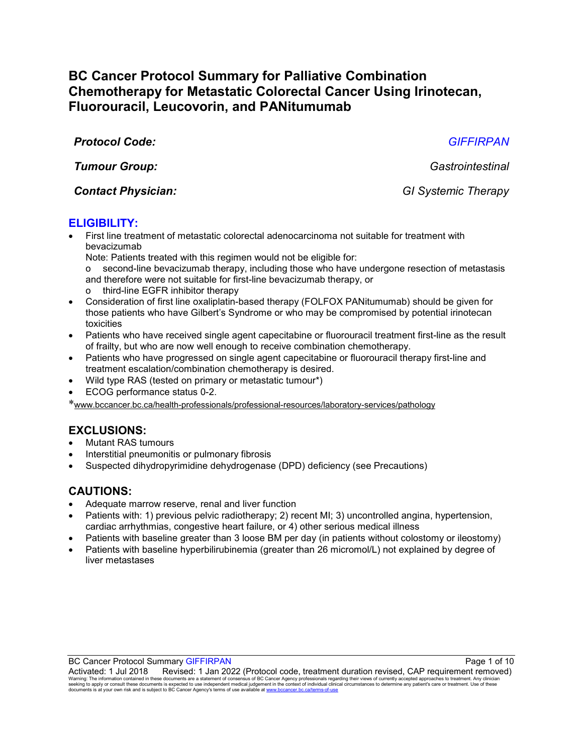# **BC Cancer Protocol Summary for Palliative Combination Chemotherapy for Metastatic Colorectal Cancer Using Irinotecan, Fluorouracil, Leucovorin, and PANitumumab**

*Protocol Code: GIFFIRPAN*

*Tumour Group: Gastrointestinal*

### *Contact Physician: GI Systemic Therapy*

### **ELIGIBILITY:**

• First line treatment of metastatic colorectal adenocarcinoma not suitable for treatment with bevacizumab

Note: Patients treated with this regimen would not be eligible for:

o second-line bevacizumab therapy, including those who have undergone resection of metastasis and therefore were not suitable for first-line bevacizumab therapy, or

- third-line EGFR inhibitor therapy
- Consideration of first line oxaliplatin-based therapy (FOLFOX PANitumumab) should be given for those patients who have Gilbert's Syndrome or who may be compromised by potential irinotecan toxicities
- Patients who have received single agent capecitabine or fluorouracil treatment first-line as the result of frailty, but who are now well enough to receive combination chemotherapy.
- Patients who have progressed on single agent capecitabine or fluorouracil therapy first-line and treatment escalation/combination chemotherapy is desired.
- Wild type RAS (tested on primary or metastatic tumour\*)
- ECOG performance status 0-2.

\*[www.bccancer.bc.ca/health-professionals/professional-resources/laboratory-services/pathology](http://www.bccancer.bc.ca/health-professionals/professional-resources/laboratory-services/pathology)

# **EXCLUSIONS:**

- Mutant RAS tumours
- Interstitial pneumonitis or pulmonary fibrosis
- Suspected dihydropyrimidine dehydrogenase (DPD) deficiency (see Precautions)

# **CAUTIONS:**

- Adequate marrow reserve, renal and liver function
- Patients with: 1) previous pelvic radiotherapy; 2) recent MI; 3) uncontrolled angina, hypertension, cardiac arrhythmias, congestive heart failure, or 4) other serious medical illness
- Patients with baseline greater than 3 loose BM per day (in patients without colostomy or ileostomy)
- Patients with baseline hyperbilirubinemia (greater than 26 micromol/L) not explained by degree of liver metastases

BC Cancer Protocol Summary GIFFIRPAN **Page 1 of 10** and 20 and 20 and 20 and 20 and 20 and 20 and 20 and 20 and 20 and 20 and 20 and 20 and 20 and 20 and 20 and 20 and 20 and 20 and 20 and 20 and 20 and 20 and 20 and 20 an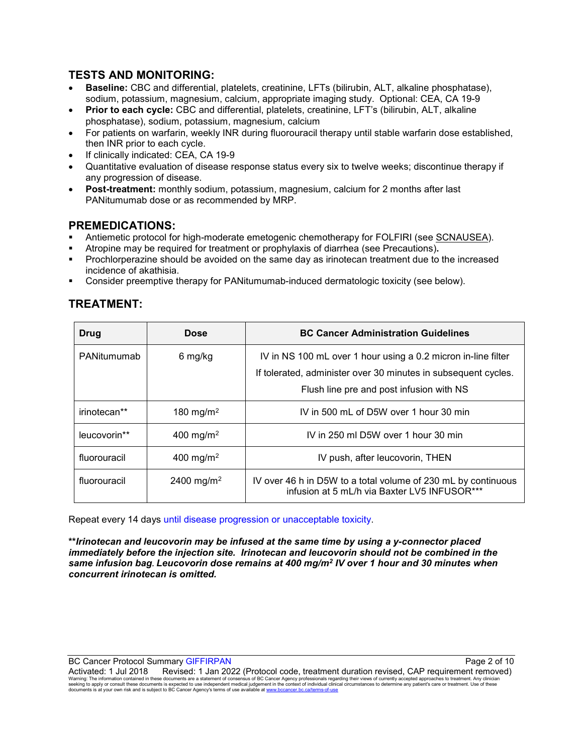### **TESTS AND MONITORING:**

- **Baseline:** CBC and differential, platelets, creatinine, LFTs (bilirubin, ALT, alkaline phosphatase), sodium, potassium, magnesium, calcium, appropriate imaging study. Optional: CEA, CA 19-9
- **Prior to each cycle:** CBC and differential, platelets, creatinine, LFT's (bilirubin, ALT, alkaline phosphatase), sodium, potassium, magnesium, calcium
- For patients on warfarin, weekly INR during fluorouracil therapy until stable warfarin dose established, then INR prior to each cycle.
- If clinically indicated: CEA, CA 19-9
- Quantitative evaluation of disease response status every six to twelve weeks; discontinue therapy if any progression of disease.
- **Post-treatment:** monthly sodium, potassium, magnesium, calcium for 2 months after last PANitumumab dose or as recommended by MRP.

#### **PREMEDICATIONS:**

- Antiemetic protocol for high-moderate emetogenic chemotherapy for FOLFIRI (see [SCNAUSEA\)](http://www.bccancer.bc.ca/HPI/ChemotherapyProtocols/SupportiveCare/SCNAUSEA.htm).
- Atropine may be required for treatment or prophylaxis of diarrhea (see Precautions)**.**
- Prochlorperazine should be avoided on the same day as irinotecan treatment due to the increased incidence of akathisia.
- Consider preemptive therapy for PANitumumab-induced dermatologic toxicity (see below).

#### **TREATMENT:**

| Drug         | <b>Dose</b>            | <b>BC Cancer Administration Guidelines</b>                                                                    |  |
|--------------|------------------------|---------------------------------------------------------------------------------------------------------------|--|
| PANitumumab  | 6 mg/kg                | IV in NS 100 mL over 1 hour using a 0.2 micron in-line filter                                                 |  |
|              |                        | If tolerated, administer over 30 minutes in subsequent cycles.                                                |  |
|              |                        | Flush line pre and post infusion with NS                                                                      |  |
| irinotecan** | 180 mg/m <sup>2</sup>  | IV in 500 mL of D5W over 1 hour 30 min                                                                        |  |
| leucovorin** | 400 mg/m <sup>2</sup>  | IV in 250 ml D5W over 1 hour 30 min                                                                           |  |
| fluorouracil | 400 mg/m <sup>2</sup>  | IV push, after leucovorin, THEN                                                                               |  |
| fluorouracil | 2400 mg/m <sup>2</sup> | IV over 46 h in D5W to a total volume of 230 mL by continuous<br>infusion at 5 mL/h via Baxter LV5 INFUSOR*** |  |

Repeat every 14 days until disease progression or unacceptable toxicity.

**\*\****Irinotecan and leucovorin may be infused at the same time by using a y-connector placed immediately before the injection site. Irinotecan and leucovorin should not be combined in the same infusion bag. Leucovorin dose remains at 400 mg/m2 IV over 1 hour and 30 minutes when concurrent irinotecan is omitted.*

BC Cancer Protocol Summary GIFFIRPAN **Page 2 of 10**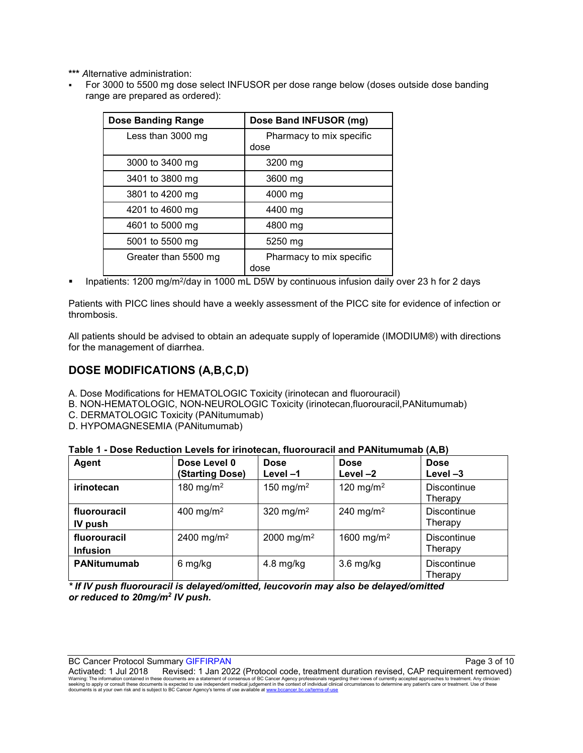**\*\*\*** *A*lternative administration:

 For 3000 to 5500 mg dose select INFUSOR per dose range below (doses outside dose banding range are prepared as ordered):

| <b>Dose Banding Range</b> | Dose Band INFUSOR (mg)           |
|---------------------------|----------------------------------|
| Less than 3000 mg         | Pharmacy to mix specific<br>dose |
| 3000 to 3400 mg           | 3200 mg                          |
| 3401 to 3800 mg           | 3600 mg                          |
| 3801 to 4200 mg           | 4000 mg                          |
| 4201 to 4600 mg           | 4400 mg                          |
| 4601 to 5000 mg           | 4800 mg                          |
| 5001 to 5500 mg           | 5250 mg                          |
| Greater than 5500 mg      | Pharmacy to mix specific<br>dose |

Inpatients: 1200 mg/m2/day in 1000 mL D5W by continuous infusion daily over 23 h for 2 days

Patients with PICC lines should have a weekly assessment of the PICC site for evidence of infection or thrombosis.

All patients should be advised to obtain an adequate supply of loperamide (IMODIUM®) with directions for the management of diarrhea.

### **DOSE MODIFICATIONS (A,B,C,D)**

- A. Dose Modifications for HEMATOLOGIC Toxicity (irinotecan and fluorouracil)
- B. NON-HEMATOLOGIC, NON-NEUROLOGIC Toxicity (irinotecan,fluorouracil,PANitumumab)
- C. DERMATOLOGIC Toxicity (PANitumumab)
- D. HYPOMAGNESEMIA (PANitumumab)

| Table 1 - Dose Reduction Levels for irinotecan, fluorouracil and PANitumumab (A,B) |  |  |
|------------------------------------------------------------------------------------|--|--|
|------------------------------------------------------------------------------------|--|--|

| Agent                           | Dose Level 0<br>(Starting Dose) | <b>Dose</b><br>Level-1 | <b>Dose</b><br>Level $-2$ | <b>Dose</b><br>Level $-3$     |
|---------------------------------|---------------------------------|------------------------|---------------------------|-------------------------------|
| irinotecan                      | 180 mg/m <sup>2</sup>           | 150 mg/m <sup>2</sup>  | 120 mg/m <sup>2</sup>     | <b>Discontinue</b><br>Therapy |
| fluorouracil<br>IV push         | 400 mg/m <sup>2</sup>           | 320 mg/m <sup>2</sup>  | 240 mg/m <sup>2</sup>     | <b>Discontinue</b><br>Therapy |
| fluorouracil<br><b>Infusion</b> | 2400 mg/m <sup>2</sup>          | 2000 mg/m <sup>2</sup> | 1600 mg/m <sup>2</sup>    | <b>Discontinue</b><br>Therapy |
| <b>PANitumumab</b>              | 6 mg/kg                         | $4.8 \text{ mg/kg}$    | $3.6$ mg/kg               | <b>Discontinue</b><br>Therapy |

*\* If IV push fluorouracil is delayed/omitted, leucovorin may also be delayed/omitted or reduced to 20mg/m2 IV push.* 

BC Cancer Protocol Summary GIFFIRPAN Page 3 of 10 AM AND TO A SAME A SAME RANGER AND THE RESERVE TO A SAME RANGE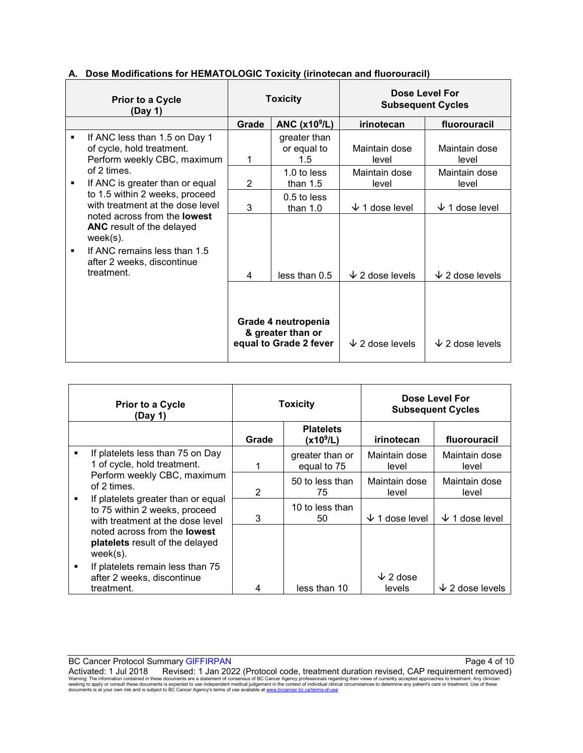|                                                                                                                                                                                                                            | <b>Prior to a Cycle</b><br>(Day 1)                                                                                                                   | <b>Toxicity</b>                    |                                                                    | Dose Level For<br><b>Subsequent Cycles</b> |                        |
|----------------------------------------------------------------------------------------------------------------------------------------------------------------------------------------------------------------------------|------------------------------------------------------------------------------------------------------------------------------------------------------|------------------------------------|--------------------------------------------------------------------|--------------------------------------------|------------------------|
|                                                                                                                                                                                                                            |                                                                                                                                                      | Grade                              | ANC $(x109/L)$                                                     | irinotecan                                 | fluorouracil           |
| If ANC less than 1.5 on Day 1<br>٠<br>of cycle, hold treatment.<br>Perform weekly CBC, maximum<br>of 2 times<br>If ANC is greater than or equal<br>٠<br>to 1.5 within 2 weeks, proceed<br>with treatment at the dose level | 1                                                                                                                                                    | greater than<br>or equal to<br>1.5 | Maintain dose<br>level                                             | Maintain dose<br>level                     |                        |
|                                                                                                                                                                                                                            | $\overline{2}$                                                                                                                                       | $1.0$ to less<br>than $1.5$        | Maintain dose<br>level                                             | Maintain dose<br>level                     |                        |
|                                                                                                                                                                                                                            | 3                                                                                                                                                    | $0.5$ to less<br>than $1.0$        | 1 dose level<br>◡                                                  | $\sqrt{ }$ 1 dose level                    |                        |
|                                                                                                                                                                                                                            | noted across from the <b>lowest</b><br><b>ANC</b> result of the delayed<br>$week(s)$ .<br>If ANC remains less than 1.5<br>after 2 weeks, discontinue |                                    |                                                                    |                                            |                        |
|                                                                                                                                                                                                                            | treatment.                                                                                                                                           | 4                                  | less than 0.5                                                      | $\downarrow$ 2 dose levels                 | $\sqrt{2}$ dose levels |
|                                                                                                                                                                                                                            |                                                                                                                                                      |                                    | Grade 4 neutropenia<br>& greater than or<br>equal to Grade 2 fever | $\downarrow$ 2 dose levels                 | $\sqrt{2}$ dose levels |

#### **A. Dose Modifications for HEMATOLOGIC Toxicity (irinotecan and fluorouracil)**

|   | <b>Prior to a Cycle</b><br>(Day 1)                                                                      | <b>Toxicity</b> |                                           |                           | Dose Level For<br><b>Subsequent Cycles</b> |
|---|---------------------------------------------------------------------------------------------------------|-----------------|-------------------------------------------|---------------------------|--------------------------------------------|
|   |                                                                                                         | Grade           | <b>Platelets</b><br>(x10 <sup>9</sup> /L) | irinotecan                | fluorouracil                               |
| ٠ | If platelets less than 75 on Day<br>1 of cycle, hold treatment.                                         |                 | greater than or<br>equal to 75            | Maintain dose<br>level    | Maintain dose<br>level                     |
|   | Perform weekly CBC, maximum<br>of 2 times.                                                              | 2               | 50 to less than<br>75                     | Maintain dose<br>level    | Maintain dose<br>level                     |
| ٠ | If platelets greater than or equal<br>to 75 within 2 weeks, proceed<br>with treatment at the dose level | 3               | 10 to less than<br>50                     | $\sqrt{1}$ dose level     | $\sqrt{1}$ dose level                      |
|   | noted across from the <b>lowest</b><br><b>platelets</b> result of the delayed<br>$week(s)$ .            |                 |                                           |                           |                                            |
| ٠ | If platelets remain less than 75<br>after 2 weeks, discontinue<br>treatment.                            | 4               | less than 10                              | $\sqrt{2}$ dose<br>levels | $\sqrt{2}$ dose levels                     |

BC Cancer Protocol Summary GIFFIRPAN Page 4 of 10 AM AND TO A SAME RADIO AND THE RESEARCH PAGE 4 Of 10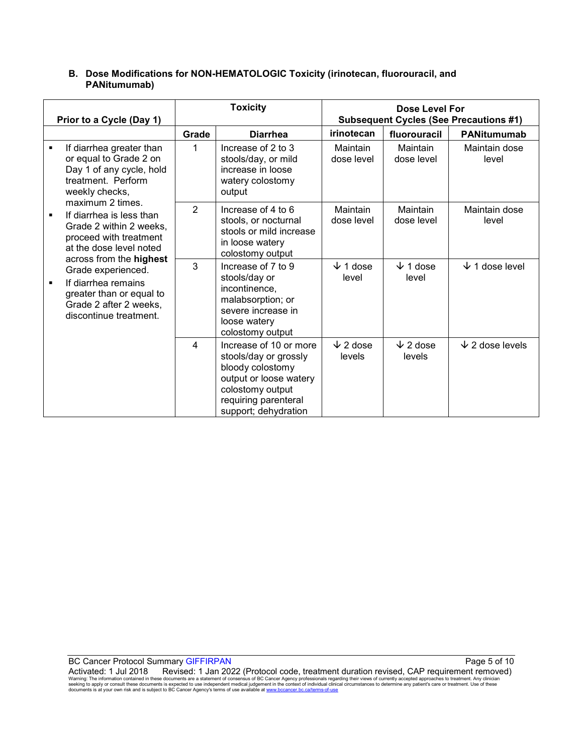#### **B. Dose Modifications for NON-HEMATOLOGIC Toxicity (irinotecan, fluorouracil, and PANitumumab)**

|                          |                                                                                                                                                                                                                                                                                                                                                                                                                          | <b>Toxicity</b>         |                                                                                                                                                                   | Dose Level For               |                           |                                               |
|--------------------------|--------------------------------------------------------------------------------------------------------------------------------------------------------------------------------------------------------------------------------------------------------------------------------------------------------------------------------------------------------------------------------------------------------------------------|-------------------------|-------------------------------------------------------------------------------------------------------------------------------------------------------------------|------------------------------|---------------------------|-----------------------------------------------|
| Prior to a Cycle (Day 1) |                                                                                                                                                                                                                                                                                                                                                                                                                          |                         |                                                                                                                                                                   |                              |                           | <b>Subsequent Cycles (See Precautions #1)</b> |
|                          |                                                                                                                                                                                                                                                                                                                                                                                                                          | Grade                   | <b>Diarrhea</b>                                                                                                                                                   | irinotecan                   | fluorouracil              | <b>PANitumumab</b>                            |
| ٠                        | If diarrhea greater than<br>or equal to Grade 2 on<br>Day 1 of any cycle, hold<br>treatment. Perform<br>weekly checks,<br>maximum 2 times.<br>If diarrhea is less than<br>٠<br>Grade 2 within 2 weeks,<br>proceed with treatment<br>at the dose level noted<br>across from the highest<br>Grade experienced.<br>If diarrhea remains<br>٠<br>greater than or equal to<br>Grade 2 after 2 weeks,<br>discontinue treatment. | 1                       | Increase of 2 to 3<br>stools/day, or mild<br>increase in loose<br>watery colostomy<br>output                                                                      | Maintain<br>dose level       | Maintain<br>dose level    | Maintain dose<br>level                        |
|                          |                                                                                                                                                                                                                                                                                                                                                                                                                          | $\overline{2}$          | Increase of 4 to 6<br>stools, or nocturnal<br>stools or mild increase<br>in loose watery<br>colostomy output                                                      | Maintain<br>dose level       | Maintain<br>dose level    | Maintain dose<br>level                        |
|                          |                                                                                                                                                                                                                                                                                                                                                                                                                          | 3                       | Increase of 7 to 9<br>stools/day or<br>incontinence,<br>malabsorption; or<br>severe increase in<br>loose watery<br>colostomy output                               | $\downarrow$ 1 dose<br>level | $\sqrt{1}$ dose<br>level  | $\downarrow$ 1 dose level                     |
|                          |                                                                                                                                                                                                                                                                                                                                                                                                                          | $\overline{\mathbf{A}}$ | Increase of 10 or more<br>stools/day or grossly<br>bloody colostomy<br>output or loose watery<br>colostomy output<br>requiring parenteral<br>support; dehydration | $\sqrt{2}$ dose<br>levels    | $\sqrt{2}$ dose<br>levels | $\sqrt{2}$ dose levels                        |

BC Cancer Protocol Summary GIFFIRPAN Page 5 of 10 AM AND TO A SAME RADIO STATE AND THE PAGE 5 OF 10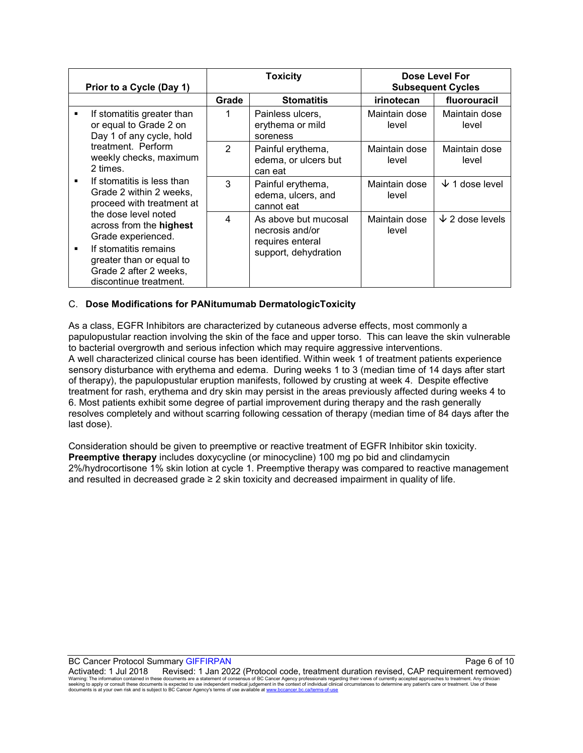| Prior to a Cycle (Day 1)                                                                                                                          |                                                                                                                                                             | <b>Toxicity</b>                                      |                                                             | Dose Level For<br><b>Subsequent Cycles</b> |                        |
|---------------------------------------------------------------------------------------------------------------------------------------------------|-------------------------------------------------------------------------------------------------------------------------------------------------------------|------------------------------------------------------|-------------------------------------------------------------|--------------------------------------------|------------------------|
|                                                                                                                                                   |                                                                                                                                                             | Grade                                                | <b>Stomatitis</b>                                           | irinotecan                                 | fluorouracil           |
| If stomatitis greater than<br>٠<br>or equal to Grade 2 on<br>Day 1 of any cycle, hold<br>treatment. Perform<br>weekly checks, maximum<br>2 times. | 1                                                                                                                                                           | Painless ulcers,<br>erythema or mild<br>soreness     | Maintain dose<br>level                                      | Maintain dose<br>level                     |                        |
|                                                                                                                                                   | $\mathcal{P}$                                                                                                                                               | Painful erythema,<br>edema, or ulcers but<br>can eat | Maintain dose<br>level                                      | Maintain dose<br>level                     |                        |
|                                                                                                                                                   | If stomatitis is less than<br>Grade 2 within 2 weeks,<br>proceed with treatment at<br>the dose level noted<br>across from the highest<br>Grade experienced. | 3                                                    | Painful erythema,<br>edema, ulcers, and<br>cannot eat       | Maintain dose<br>level                     | $\sqrt{1}$ dose level  |
|                                                                                                                                                   |                                                                                                                                                             | 4                                                    | As above but mucosal<br>necrosis and/or<br>requires enteral | Maintain dose<br>level                     | $\sqrt{2}$ dose levels |
| $\blacksquare$                                                                                                                                    | If stomatitis remains<br>greater than or equal to<br>Grade 2 after 2 weeks,<br>discontinue treatment.                                                       |                                                      | support, dehydration                                        |                                            |                        |

#### C. **Dose Modifications for PANitumumab DermatologicToxicity**

As a class, EGFR Inhibitors are characterized by cutaneous adverse effects, most commonly a papulopustular reaction involving the skin of the face and upper torso. This can leave the skin vulnerable to bacterial overgrowth and serious infection which may require aggressive interventions. A well characterized clinical course has been identified. Within week 1 of treatment patients experience sensory disturbance with erythema and edema. During weeks 1 to 3 (median time of 14 days after start of therapy), the papulopustular eruption manifests, followed by crusting at week 4. Despite effective treatment for rash, erythema and dry skin may persist in the areas previously affected during weeks 4 to 6. Most patients exhibit some degree of partial improvement during therapy and the rash generally resolves completely and without scarring following cessation of therapy (median time of 84 days after the last dose).

Consideration should be given to preemptive or reactive treatment of EGFR Inhibitor skin toxicity. **Preemptive therapy** includes doxycycline (or minocycline) 100 mg po bid and clindamycin 2%/hydrocortisone 1% skin lotion at cycle 1. Preemptive therapy was compared to reactive management and resulted in decreased grade  $\geq 2$  skin toxicity and decreased impairment in quality of life.

BC Cancer Protocol Summary GIFFIRPAN **Page 6 of 10** Page 6 of 10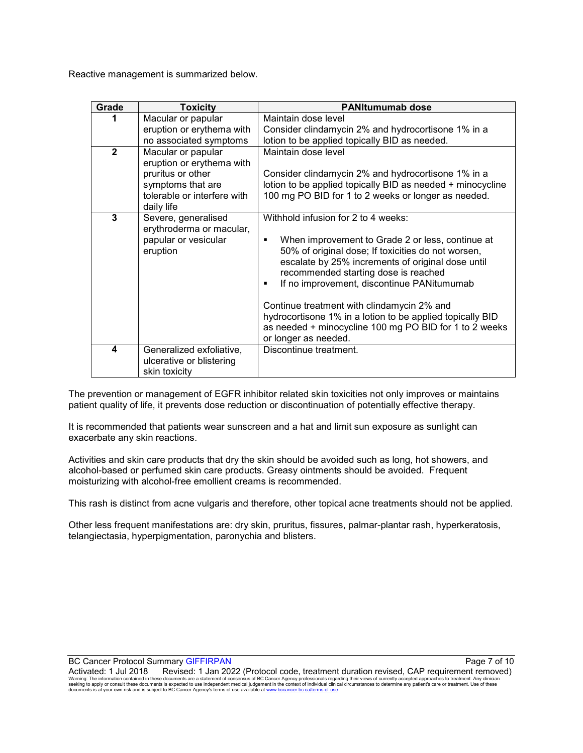Reactive management is summarized below.

| Grade        | <b>Toxicity</b>                                                                                                                        | <b>PANItumumab dose</b>                                                                                                                                                                                                                                                                                                                                                                                                                                                               |
|--------------|----------------------------------------------------------------------------------------------------------------------------------------|---------------------------------------------------------------------------------------------------------------------------------------------------------------------------------------------------------------------------------------------------------------------------------------------------------------------------------------------------------------------------------------------------------------------------------------------------------------------------------------|
| 1            | Macular or papular<br>eruption or erythema with<br>no associated symptoms                                                              | Maintain dose level<br>Consider clindamycin 2% and hydrocortisone 1% in a<br>lotion to be applied topically BID as needed.                                                                                                                                                                                                                                                                                                                                                            |
| $\mathbf{2}$ | Macular or papular<br>eruption or erythema with<br>pruritus or other<br>symptoms that are<br>tolerable or interfere with<br>daily life | Maintain dose level<br>Consider clindamycin 2% and hydrocortisone 1% in a<br>lotion to be applied topically BID as needed + minocycline<br>100 mg PO BID for 1 to 2 weeks or longer as needed.                                                                                                                                                                                                                                                                                        |
| 3            | Severe, generalised<br>erythroderma or macular,<br>papular or vesicular<br>eruption                                                    | Withhold infusion for 2 to 4 weeks:<br>When improvement to Grade 2 or less, continue at<br>50% of original dose; If toxicities do not worsen,<br>escalate by 25% increments of original dose until<br>recommended starting dose is reached<br>If no improvement, discontinue PANitumumab<br>Continue treatment with clindamycin 2% and<br>hydrocortisone 1% in a lotion to be applied topically BID<br>as needed + minocycline 100 mg PO BID for 1 to 2 weeks<br>or longer as needed. |
| 4            | Generalized exfoliative,<br>ulcerative or blistering<br>skin toxicity                                                                  | Discontinue treatment.                                                                                                                                                                                                                                                                                                                                                                                                                                                                |

The prevention or management of EGFR inhibitor related skin toxicities not only improves or maintains patient quality of life, it prevents dose reduction or discontinuation of potentially effective therapy.

It is recommended that patients wear sunscreen and a hat and limit sun exposure as sunlight can exacerbate any skin reactions.

Activities and skin care products that dry the skin should be avoided such as long, hot showers, and alcohol-based or perfumed skin care products. Greasy ointments should be avoided. Frequent moisturizing with alcohol-free emollient creams is recommended.

This rash is distinct from acne vulgaris and therefore, other topical acne treatments should not be applied.

Other less frequent manifestations are: dry skin, pruritus, fissures, palmar-plantar rash, hyperkeratosis, telangiectasia, hyperpigmentation, paronychia and blisters.

BC Cancer Protocol Summary GIFFIRPAN Page 7 of 10 AM AND TO A SAME RADIO AND THE RESEARCH PAGE 7 Of 10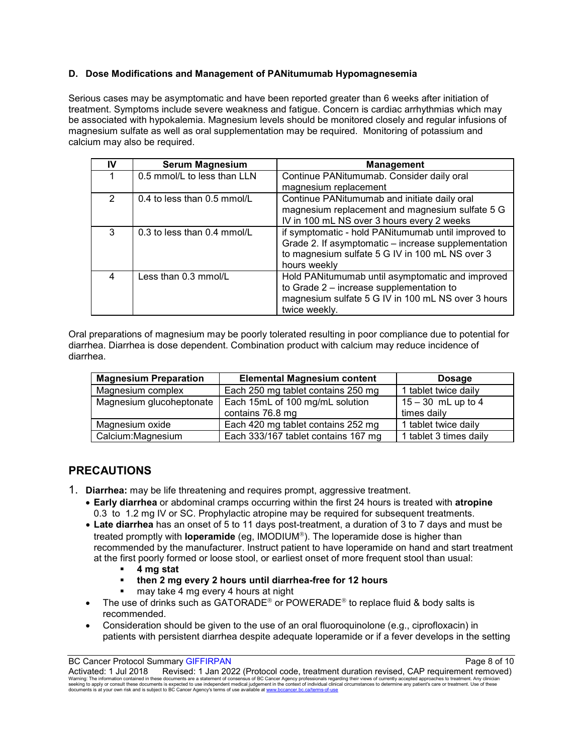#### **D. Dose Modifications and Management of PANitumumab Hypomagnesemia**

Serious cases may be asymptomatic and have been reported greater than 6 weeks after initiation of treatment. Symptoms include severe weakness and fatigue. Concern is cardiac arrhythmias which may be associated with hypokalemia. Magnesium levels should be monitored closely and regular infusions of magnesium sulfate as well as oral supplementation may be required. Monitoring of potassium and calcium may also be required.

| IV            | <b>Serum Magnesium</b>        | <b>Management</b>                                                                                                                                                             |
|---------------|-------------------------------|-------------------------------------------------------------------------------------------------------------------------------------------------------------------------------|
|               | 0.5 mmol/L to less than LLN   | Continue PANitumumab. Consider daily oral<br>magnesium replacement                                                                                                            |
| $\mathcal{P}$ | $0.4$ to less than 0.5 mmol/L | Continue PANitumumab and initiate daily oral<br>magnesium replacement and magnesium sulfate 5 G<br>IV in 100 mL NS over 3 hours every 2 weeks                                 |
| 3             | 0.3 to less than 0.4 mmol/L   | if symptomatic - hold PANitumumab until improved to<br>Grade 2. If asymptomatic - increase supplementation<br>to magnesium sulfate 5 G IV in 100 mL NS over 3<br>hours weekly |
| 4             | Less than 0.3 mmol/L          | Hold PANitumumab until asymptomatic and improved<br>to Grade 2 - increase supplementation to<br>magnesium sulfate 5 G IV in 100 mL NS over 3 hours<br>twice weekly.           |

Oral preparations of magnesium may be poorly tolerated resulting in poor compliance due to potential for diarrhea. Diarrhea is dose dependent. Combination product with calcium may reduce incidence of diarrhea.

| <b>Magnesium Preparation</b> | <b>Elemental Magnesium content</b>  | <b>Dosage</b>          |
|------------------------------|-------------------------------------|------------------------|
| Magnesium complex            | Each 250 mg tablet contains 250 mg  | 1 tablet twice daily   |
| Magnesium glucoheptonate     | Each 15mL of 100 mg/mL solution     | $15 - 30$ mL up to 4   |
|                              | contains 76.8 mg                    | times daily            |
| Magnesium oxide              | Each 420 mg tablet contains 252 mg  | 1 tablet twice daily   |
| Calcium: Magnesium           | Each 333/167 tablet contains 167 mg | 1 tablet 3 times daily |

### **PRECAUTIONS**

- 1. **Diarrhea:** may be life threatening and requires prompt, aggressive treatment.
	- **Early diarrhea** or abdominal cramps occurring within the first 24 hours is treated with **atropine** 0.3 to 1.2 mg IV or SC. Prophylactic atropine may be required for subsequent treatments.
	- **Late diarrhea** has an onset of 5 to 11 days post-treatment, a duration of 3 to 7 days and must be treated promptly with **loperamide** (eq, IMODIUM®). The loperamide dose is higher than recommended by the manufacturer. Instruct patient to have loperamide on hand and start treatment at the first poorly formed or loose stool, or earliest onset of more frequent stool than usual:
		- **4 mg stat**
		- **then 2 mg every 2 hours until diarrhea-free for 12 hours**
		- **may take 4 mg every 4 hours at night**
	- The use of drinks such as GATORADE<sup>®</sup> or POWERADE<sup>®</sup> to replace fluid & body salts is recommended.
	- Consideration should be given to the use of an oral fluoroquinolone (e.g., ciprofloxacin) in patients with persistent diarrhea despite adequate loperamide or if a fever develops in the setting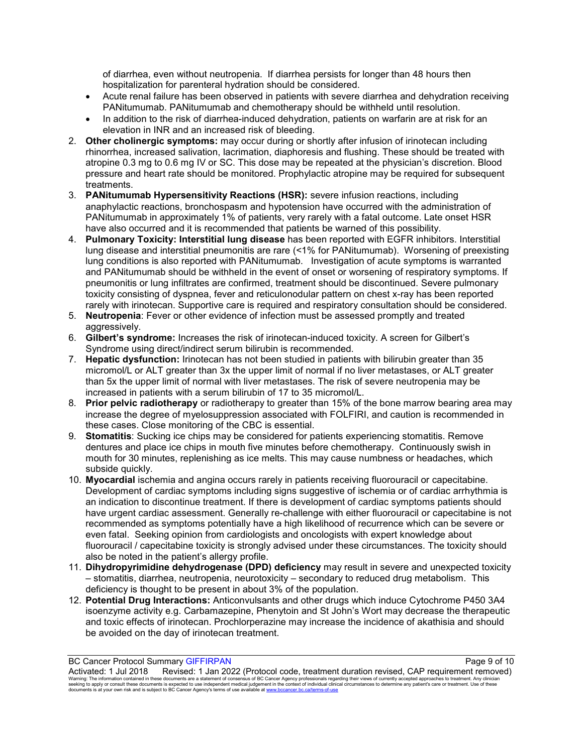of diarrhea, even without neutropenia. If diarrhea persists for longer than 48 hours then hospitalization for parenteral hydration should be considered.

- Acute renal failure has been observed in patients with severe diarrhea and dehydration receiving PANitumumab. PANitumumab and chemotherapy should be withheld until resolution.
- In addition to the risk of diarrhea-induced dehydration, patients on warfarin are at risk for an elevation in INR and an increased risk of bleeding.
- 2. **Other cholinergic symptoms:** may occur during or shortly after infusion of irinotecan including rhinorrhea, increased salivation, lacrimation, diaphoresis and flushing. These should be treated with atropine 0.3 mg to 0.6 mg IV or SC. This dose may be repeated at the physician's discretion. Blood pressure and heart rate should be monitored. Prophylactic atropine may be required for subsequent treatments.
- 3. **PANitumumab Hypersensitivity Reactions (HSR):** severe infusion reactions, including anaphylactic reactions, bronchospasm and hypotension have occurred with the administration of PANitumumab in approximately 1% of patients, very rarely with a fatal outcome. Late onset HSR have also occurred and it is recommended that patients be warned of this possibility.
- 4. **Pulmonary Toxicity: Interstitial lung disease** has been reported with EGFR inhibitors. Interstitial lung disease and interstitial pneumonitis are rare (<1% for PANitumumab). Worsening of preexisting lung conditions is also reported with PANitumumab. Investigation of acute symptoms is warranted and PANitumumab should be withheld in the event of onset or worsening of respiratory symptoms. If pneumonitis or lung infiltrates are confirmed, treatment should be discontinued. Severe pulmonary toxicity consisting of dyspnea, fever and reticulonodular pattern on chest x-ray has been reported rarely with irinotecan. Supportive care is required and respiratory consultation should be considered.
- 5. **Neutropenia**: Fever or other evidence of infection must be assessed promptly and treated aggressively.
- 6. **Gilbert's syndrome:** Increases the risk of irinotecan-induced toxicity. A screen for Gilbert's Syndrome using direct/indirect serum bilirubin is recommended.
- 7. **Hepatic dysfunction:** Irinotecan has not been studied in patients with bilirubin greater than 35 micromol/L or ALT greater than 3x the upper limit of normal if no liver metastases, or ALT greater than 5x the upper limit of normal with liver metastases. The risk of severe neutropenia may be increased in patients with a serum bilirubin of 17 to 35 micromol/L.
- 8. **Prior pelvic radiotherapy** or radiotherapy to greater than 15% of the bone marrow bearing area may increase the degree of myelosuppression associated with FOLFIRI, and caution is recommended in these cases. Close monitoring of the CBC is essential.
- 9. **Stomatitis**: Sucking ice chips may be considered for patients experiencing stomatitis. Remove dentures and place ice chips in mouth five minutes before chemotherapy. Continuously swish in mouth for 30 minutes, replenishing as ice melts. This may cause numbness or headaches, which subside quickly.
- 10. **Myocardial** ischemia and angina occurs rarely in patients receiving fluorouracil or capecitabine. Development of cardiac symptoms including signs suggestive of ischemia or of cardiac arrhythmia is an indication to discontinue treatment. If there is development of cardiac symptoms patients should have urgent cardiac assessment. Generally re-challenge with either fluorouracil or capecitabine is not recommended as symptoms potentially have a high likelihood of recurrence which can be severe or even fatal. Seeking opinion from cardiologists and oncologists with expert knowledge about fluorouracil / capecitabine toxicity is strongly advised under these circumstances. The toxicity should also be noted in the patient's allergy profile.
- 11. **Dihydropyrimidine dehydrogenase (DPD) deficiency** may result in severe and unexpected toxicity – stomatitis, diarrhea, neutropenia, neurotoxicity – secondary to reduced drug metabolism. This deficiency is thought to be present in about 3% of the population.
- 12. **Potential Drug Interactions:** Anticonvulsants and other drugs which induce Cytochrome P450 3A4 isoenzyme activity e.g. Carbamazepine, Phenytoin and St John's Wort may decrease the therapeutic and toxic effects of irinotecan. Prochlorperazine may increase the incidence of akathisia and should be avoided on the day of irinotecan treatment.

Activated: 1 Jul 2018 Revised: 1 Jan 2022 (Protocol code, treatment duration revised, CAP requirement removed)<br>Warning: The information contained in these documents are a statement of consensus of BC Cancer Agency prof